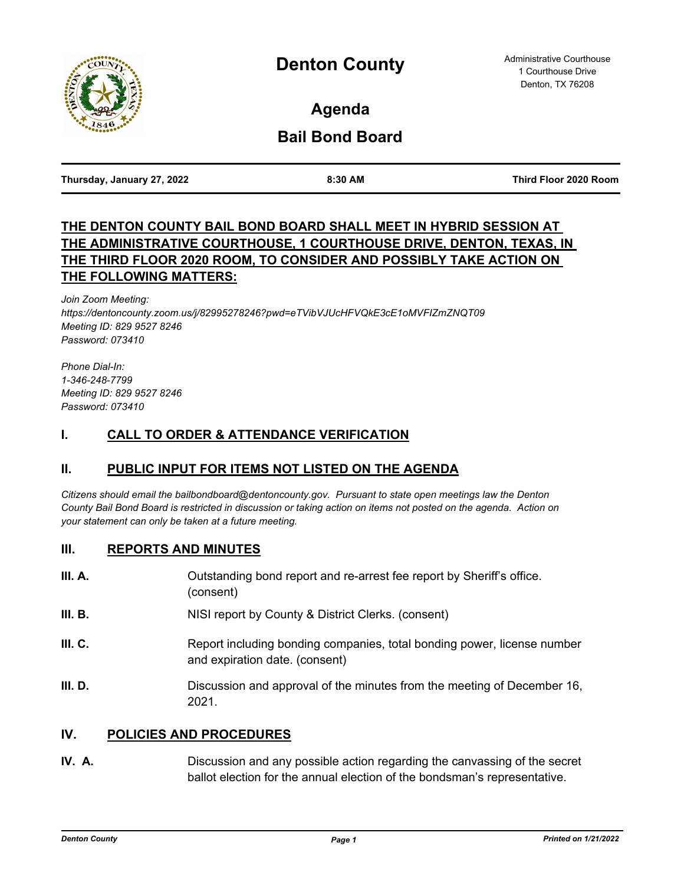

**Agenda**

# **Bail Bond Board**

| Thursday, January 27, 2022 |  |  |
|----------------------------|--|--|
|                            |  |  |

**Thursday, January 27, 2022 8:30 AM Third Floor 2020 Room**

# **THE DENTON COUNTY BAIL BOND BOARD SHALL MEET IN HYBRID SESSION AT THE ADMINISTRATIVE COURTHOUSE, 1 COURTHOUSE DRIVE, DENTON, TEXAS, IN THE THIRD FLOOR 2020 ROOM, TO CONSIDER AND POSSIBLY TAKE ACTION ON THE FOLLOWING MATTERS:**

*Join Zoom Meeting: https://dentoncounty.zoom.us/j/82995278246?pwd=eTVibVJUcHFVQkE3cE1oMVFIZmZNQT09 Meeting ID: 829 9527 8246 Password: 073410* 

*Phone Dial-In: 1-346-248-7799 Meeting ID: 829 9527 8246 Password: 073410*

## **I. CALL TO ORDER & ATTENDANCE VERIFICATION**

# **II. PUBLIC INPUT FOR ITEMS NOT LISTED ON THE AGENDA**

*Citizens should email the bailbondboard@dentoncounty.gov. Pursuant to state open meetings law the Denton County Bail Bond Board is restricted in discussion or taking action on items not posted on the agenda. Action on your statement can only be taken at a future meeting.*

### **III. REPORTS AND MINUTES**

| III. A. | Outstanding bond report and re-arrest fee report by Sheriff's office.<br>(consent)                        |
|---------|-----------------------------------------------------------------------------------------------------------|
| III. B. | NISI report by County & District Clerks. (consent)                                                        |
| III. C. | Report including bonding companies, total bonding power, license number<br>and expiration date. (consent) |
| III. D. | Discussion and approval of the minutes from the meeting of December 16,<br>2021.                          |

### **IV. POLICIES AND PROCEDURES**

**IV. A.** Discussion and any possible action regarding the canvassing of the secret ballot election for the annual election of the bondsman's representative.